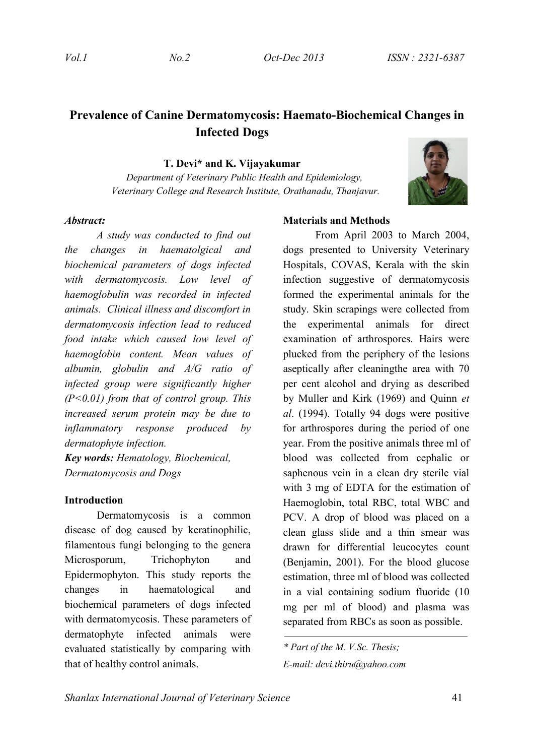# **Prevalence of Canine Dermatomycosis: Haemato-Biochemical Changes in Infected Dogs**

**T. Devi\* and K. Vijayakumar**

 *Department of Veterinary Public Health and Epidemiology, Veterinary College and Research Institute, Orathanadu, Thanjavur.*



#### *Abstract:*

*A study was conducted to find out the changes in haematolgical and biochemical parameters of dogs infected with dermatomycosis. Low level of haemoglobulin was recorded in infected animals. Clinical illness and discomfort in dermatomycosis infection lead to reduced food intake which caused low level of haemoglobin content. Mean values of albumin, globulin and A/G ratio of infected group were significantly higher (P<0.01) from that of control group. This increased serum protein may be due to inflammatory response produced by dermatophyte infection.*

*Key words: Hematology, Biochemical, Dermatomycosis and Dogs*

#### **Introduction**

Dermatomycosis is a common disease of dog caused by keratinophilic, filamentous fungi belonging to the genera Microsporum, Trichophyton and Epidermophyton. This study reports the changes in haematological and biochemical parameters of dogs infected with dermatomycosis. These parameters of dermatophyte infected animals were evaluated statistically by comparing with that of healthy control animals.

## **Materials and Methods**

From April 2003 to March 2004, dogs presented to University Veterinary Hospitals, COVAS, Kerala with the skin infection suggestive of dermatomycosis formed the experimental animals for the study. Skin scrapings were collected from the experimental animals for direct examination of arthrospores. Hairs were plucked from the periphery of the lesions aseptically after cleaningthe area with 70 per cent alcohol and drying as described by Muller and Kirk (1969) and Quinn *et al*. (1994). Totally 94 dogs were positive for arthrospores during the period of one year. From the positive animals three ml of blood was collected from cephalic or saphenous vein in a clean dry sterile vial with 3 mg of EDTA for the estimation of Haemoglobin, total RBC, total WBC and PCV. A drop of blood was placed on a clean glass slide and a thin smear was drawn for differential leucocytes count (Benjamin, 2001). For the blood glucose estimation, three ml of blood was collected in a vial containing sodium fluoride (10 mg per ml of blood) and plasma was separated from RBCs as soon as possible.

*\* Part of the M. V.Sc. Thesis; E-mail: devi.thiru@yahoo.com*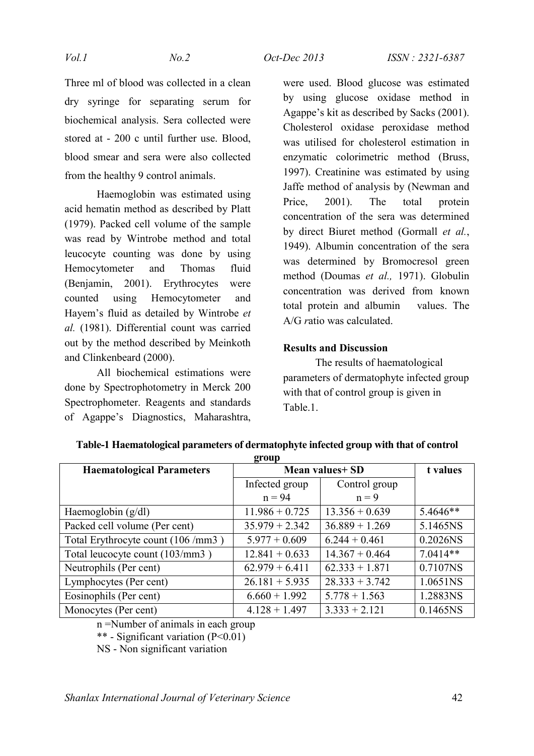Three ml of blood was collected in a clean dry syringe for separating serum for biochemical analysis. Sera collected were stored at - 200 c until further use. Blood, blood smear and sera were also collected from the healthy 9 control animals.

Haemoglobin was estimated using acid hematin method as described by Platt (1979). Packed cell volume of the sample was read by Wintrobe method and total leucocyte counting was done by using Hemocytometer and Thomas fluid (Benjamin, 2001). Erythrocytes were counted using Hemocytometer and Hayem's fluid as detailed by Wintrobe *et al.* (1981). Differential count was carried out by the method described by Meinkoth and Clinkenbeard (2000).

All biochemical estimations were done by Spectrophotometry in Merck 200 Spectrophometer. Reagents and standards of Agappe's Diagnostics, Maharashtra, were used. Blood glucose was estimated by using glucose oxidase method in Agappe's kit as described by Sacks (2001). Cholesterol oxidase peroxidase method was utilised for cholesterol estimation in enzymatic colorimetric method (Bruss, 1997). Creatinine was estimated by using Jaffe method of analysis by (Newman and Price, 2001). The total protein concentration of the sera was determined by direct Biuret method (Gormall *et al.*, 1949). Albumin concentration of the sera was determined by Bromocresol green method (Doumas *et al.,* 1971). Globulin concentration was derived from known total protein and albumin values. The A/G *r*atio was calculated.

## **Results and Discussion**

The results of haematological parameters of dermatophyte infected group with that of control group is given in Table 1

| $\mathbf{F}$ vup                  |                  |                  |            |  |  |
|-----------------------------------|------------------|------------------|------------|--|--|
| <b>Haematological Parameters</b>  | Mean values+ SD  |                  | t values   |  |  |
|                                   | Infected group   | Control group    |            |  |  |
|                                   | $n = 94$         | $n = 9$          |            |  |  |
| Haemoglobin $(g/dl)$              | $11.986 + 0.725$ | $13.356 + 0.639$ | 5.4646**   |  |  |
| Packed cell volume (Per cent)     | $35.979 + 2.342$ | $36.889 + 1.269$ | 5.1465NS   |  |  |
| Total Erythrocyte count (106/mm3) | $5.977 + 0.609$  | $6.244 + 0.461$  | 0.2026NS   |  |  |
| Total leucocyte count (103/mm3)   | $12.841 + 0.633$ | $14.367 + 0.464$ | $7.0414**$ |  |  |
| Neutrophils (Per cent)            | $62.979 + 6.411$ | $62.333 + 1.871$ | 0.7107NS   |  |  |
| Lymphocytes (Per cent)            | $26.181 + 5.935$ | $28.333 + 3.742$ | 1.0651NS   |  |  |
| Eosinophils (Per cent)            | $6.660 + 1.992$  | $5.778 + 1.563$  | 1.2883NS   |  |  |
| Monocytes (Per cent)              | $4.128 + 1.497$  | $3.333 + 2.121$  | 0.1465NS   |  |  |

**Table-1 Haematological parameters of dermatophyte infected group with that of control group**

n =Number of animals in each group

\*\* - Significant variation (P<0.01)

NS - Non significant variation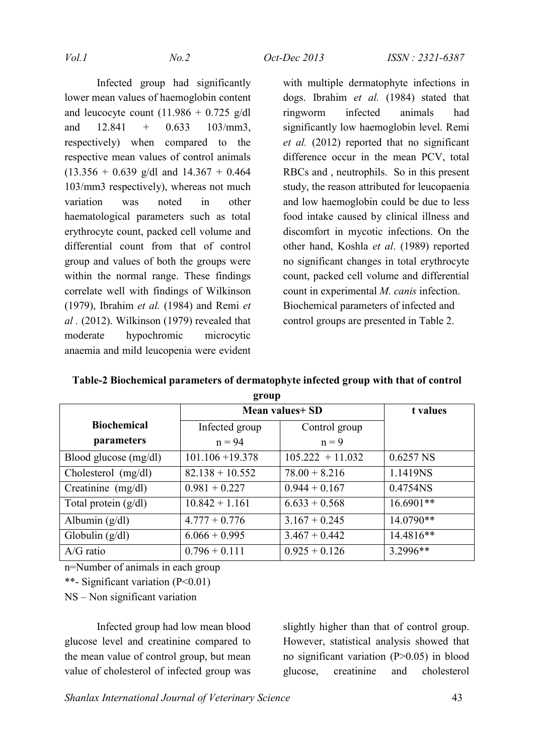Infected group had significantly lower mean values of haemoglobin content and leucocyte count  $(11.986 + 0.725 \text{ g/dl})$ and  $12.841 + 0.633 \quad 103/mm3$ , respectively) when compared to the respective mean values of control animals  $(13.356 + 0.639 \text{ g/dl} \text{ and } 14.367 + 0.464$ 103/mm3 respectively), whereas not much variation was noted in other haematological parameters such as total erythrocyte count, packed cell volume and differential count from that of control group and values of both the groups were within the normal range. These findings correlate well with findings of Wilkinson (1979), Ibrahim *et al.* (1984) and Remi *et al* . (2012). Wilkinson (1979) revealed that moderate hypochromic microcytic anaemia and mild leucopenia were evident with multiple dermatophyte infections in dogs. Ibrahim *et al.* (1984) stated that ringworm infected animals had significantly low haemoglobin level. Remi *et al.* (2012) reported that no significant difference occur in the mean PCV, total RBCs and , neutrophils. So in this present study, the reason attributed for leucopaenia and low haemoglobin could be due to less food intake caused by clinical illness and discomfort in mycotic infections. On the other hand, Koshla *et al*. (1989) reported no significant changes in total erythrocyte count, packed cell volume and differential count in experimental *M. canis* infection. Biochemical parameters of infected and control groups are presented in Table 2.

|                         | Mean values+ SD    |                    | t values    |
|-------------------------|--------------------|--------------------|-------------|
| <b>Biochemical</b>      | Infected group     | Control group      |             |
| parameters              | $n = 94$           | $n = 9$            |             |
| Blood glucose $(mg/dl)$ | $101.106 + 19.378$ | $105.222 + 11.032$ | $0.6257$ NS |
| Cholesterol (mg/dl)     | $82.138 + 10.552$  | $78.00 + 8.216$    | 1.1419NS    |
| $C$ reatinine (mg/dl)   | $0.981 + 0.227$    | $0.944 + 0.167$    | 0.4754NS    |
| Total protein $(g/dl)$  | $10.842 + 1.161$   | $6.633 + 0.568$    | $16.6901**$ |
| Albumin $(g/dl)$        | $4.777 + 0.776$    | $3.167 + 0.245$    | 14.0790**   |
| Globulin $(g/dl)$       | $6.066 + 0.995$    | $3.467 + 0.442$    | 14.4816**   |
| $A/G$ ratio             | $0.796 + 0.111$    | $0.925 + 0.126$    | 3.2996**    |

**Table-2 Biochemical parameters of dermatophyte infected group with that of control group**

n=Number of animals in each group

\*\*- Significant variation (P<0.01)

NS – Non significant variation

Infected group had low mean blood glucose level and creatinine compared to the mean value of control group, but mean value of cholesterol of infected group was slightly higher than that of control group. However, statistical analysis showed that no significant variation (P>0.05) in blood glucose, creatinine and cholesterol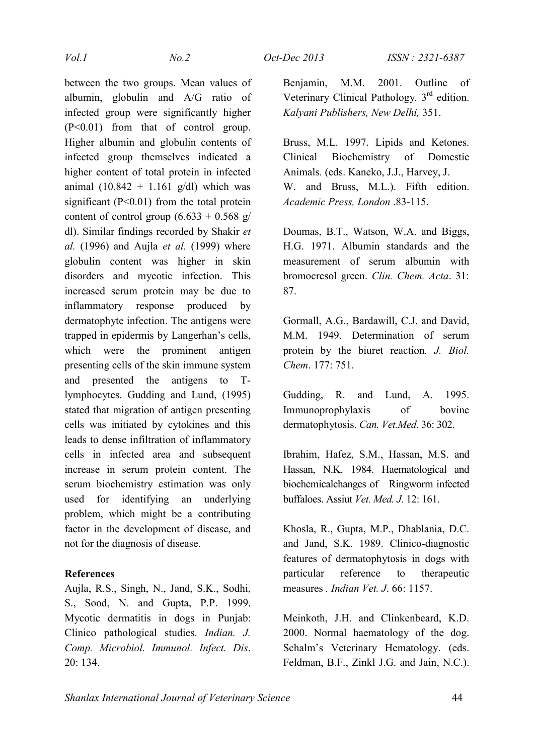between the two groups. Mean values of albumin, globulin and A/G ratio of infected group were significantly higher (P<0.01) from that of control group. Higher albumin and globulin contents of infected group themselves indicated a higher content of total protein in infected animal  $(10.842 + 1.161$  g/dl) which was significant  $(P<0.01)$  from the total protein content of control group  $(6.633 + 0.568)$  g/ dl). Similar findings recorded by Shakir *et al.* (1996) and Aujla *et al.* (1999) where globulin content was higher in skin disorders and mycotic infection. This increased serum protein may be due to inflammatory response produced by dermatophyte infection. The antigens were trapped in epidermis by Langerhan's cells, which were the prominent antigen presenting cells of the skin immune system and presented the antigens to Tlymphocytes. Gudding and Lund, (1995) stated that migration of antigen presenting cells was initiated by cytokines and this leads to dense infiltration of inflammatory cells in infected area and subsequent increase in serum protein content. The serum biochemistry estimation was only used for identifying an underlying problem, which might be a contributing factor in the development of disease, and not for the diagnosis of disease.

### **References**

Aujla, R.S., Singh, N., Jand, S.K., Sodhi, S., Sood, N. and Gupta, P.P. 1999. Mycotic dermatitis in dogs in Punjab: Clinico pathological studies. *Indian. J. Comp. Microbiol. Immunol. Infect. Dis*. 20: 134.

Benjamin, M.M. 2001. Outline of Veterinary Clinical Pathology*.* 3rd edition. *Kalyani Publishers, New Delhi,* 351.

Bruss, M.L. 1997. Lipids and Ketones. Clinical Biochemistry of Domestic Animals*.* (eds. Kaneko, J.J., Harvey, J. W. and Bruss, M.L.). Fifth edition. *Academic Press, London* .83-115.

Doumas, B.T., Watson, W.A. and Biggs, H.G. 1971. Albumin standards and the measurement of serum albumin with bromocresol green. *Clin. Chem. Acta*. 31: 87.

Gormall, A.G., Bardawill, C.J. and David, M.M. 1949. Determination of serum protein by the biuret reaction*. J. Biol. Chem*. 177: 751.

Gudding, R. and Lund, A. 1995. Immunoprophylaxis of bovine dermatophytosis. *Can. Vet.Med*. 36: 302.

Ibrahim, Hafez, S.M., Hassan, M.S. and Hassan, N.K. 1984. Haematological and biochemicalchanges of Ringworm infected buffaloes. Assiut *Vet. Med. J*. 12: 161.

Khosla, R., Gupta, M.P., Dhablania, D.C. and Jand, S.K. 1989. Clinico-diagnostic features of dermatophytosis in dogs with particular reference to therapeutic measures *. Indian Vet. J*. 66: 1157.

Meinkoth, J.H. and Clinkenbeard, K.D. 2000. Normal haematology of the dog. Schalm's Veterinary Hematology. (eds. Feldman, B.F., Zinkl J.G. and Jain, N.C.).